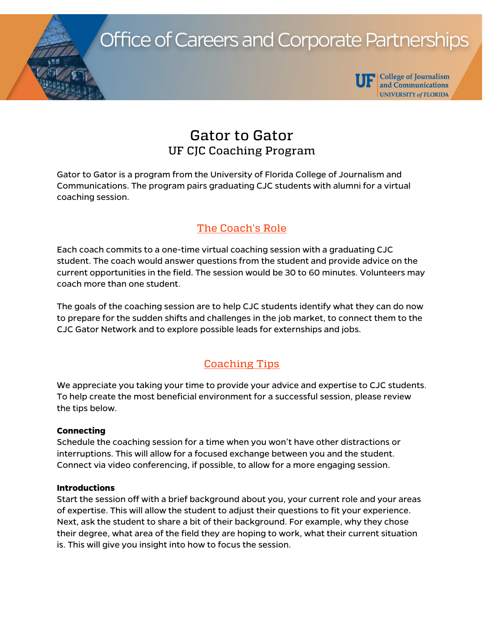**Office of Careers and Corporate Partnerships** 



**UF** College of Journalism and Communications **UNIVERSITY of FLORIDA** 

# Gator to Gator UF CJC Coaching Program

Gator to Gator is a program from the University of Florida College of Journalism and Communications. The program pairs graduating CJC students with alumni for a virtual coaching session.

## The Coach's Role

Each coach commits to a one-time virtual coaching session with a graduating CJC student. The coach would answer questions from the student and provide advice on the current opportunities in the field. The session would be 30 to 60 minutes. Volunteers may coach more than one student.

The goals of the coaching session are to help CJC students identify what they can do now to prepare for the sudden shifts and challenges in the job market, to connect them to the CJC Gator Network and to explore possible leads for externships and jobs.

## Coaching Tips

We appreciate you taking your time to provide your advice and expertise to CJC students. To help create the most beneficial environment for a successful session, please review the tips below.

### **Connecting**

Schedule the coaching session for a time when you won't have other distractions or interruptions. This will allow for a focused exchange between you and the student. Connect via video conferencing, if possible, to allow for a more engaging session.

### **Introductions**

Start the session off with a brief background about you, your current role and your areas of expertise. This will allow the student to adjust their questions to fit your experience. Next, ask the student to share a bit of their background. For example, why they chose their degree, what area of the field they are hoping to work, what their current situation is. This will give you insight into how to focus the session.